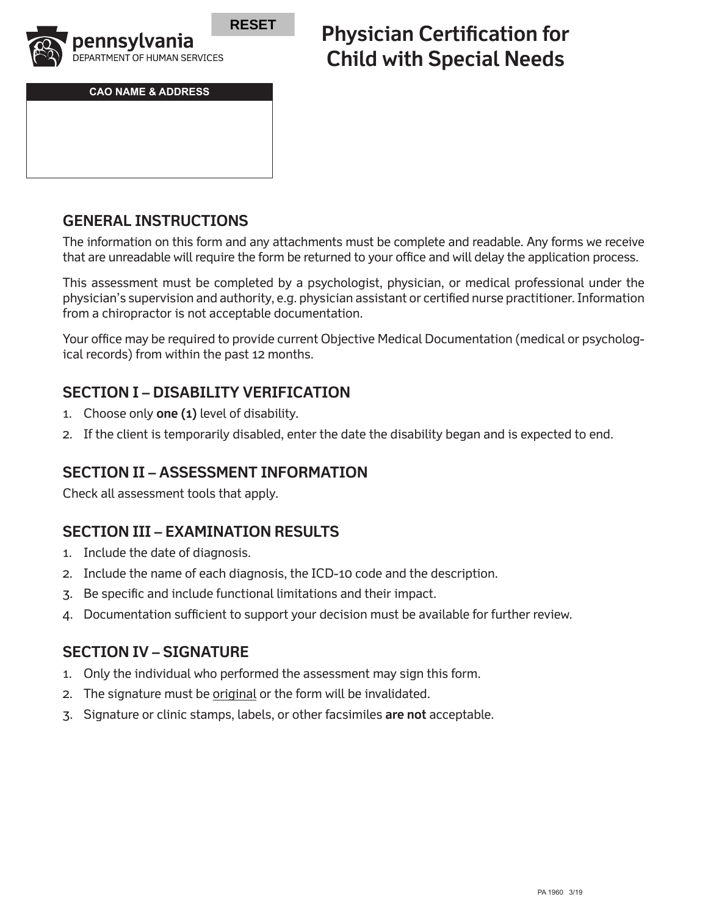

**CAO NAME & ADDRESS**

# **Physician Certification for Child with Special Needs**

## **GENERAL INSTRUCTIONS**

The information on this form and any attachments must be complete and readable. Any forms we receive that are unreadable will require the form be returned to your office and will delay the application process.

This assessment must be completed by a psychologist, physician, or medical professional under the physician's supervision and authority, e.g. physician assistant or certified nurse practitioner. Information from a chiropractor is not acceptable documentation.

Your office may be required to provide current Objective Medical Documentation (medical or psychological records) from within the past 12 months.

## **SECTION I – DISABILITY VERIFICATION**

- 1. Choose only **one (1)** level of disability.
- 2. If the client is temporarily disabled, enter the date the disability began and is expected to end.

## **SECTION II – ASSESSMENT INFORMATION**

Check all assessment tools that apply.

## **SECTION III – EXAMINATION RESULTS**

- 1. Include the date of diagnosis.
- 2. Include the name of each diagnosis, the ICD-10 code and the description.
- 3. Be specific and include functional limitations and their impact.
- 4. Documentation sufficient to support your decision must be available for further review.

## **SECTION IV – SIGNATURE**

- 1. Only the individual who performed the assessment may sign this form.
- 2. The signature must be original or the form will be invalidated.
- 3. Signature or clinic stamps, labels, or other facsimiles **are not** acceptable.